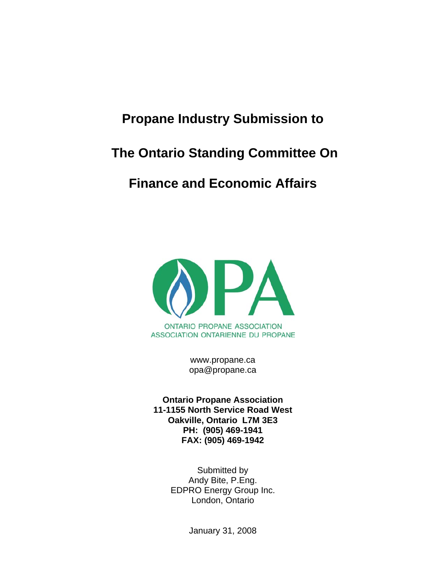# **Propane Industry Submission to**

# **The Ontario Standing Committee On**

# **Finance and Economic Affairs**



www.propane.ca opa@propane.ca

**Ontario Propane Association 11-1155 North Service Road West Oakville, Ontario L7M 3E3 PH: (905) 469-1941 FAX: (905) 469-1942** 

> Submitted by Andy Bite, P.Eng. EDPRO Energy Group Inc. London, Ontario

> > January 31, 2008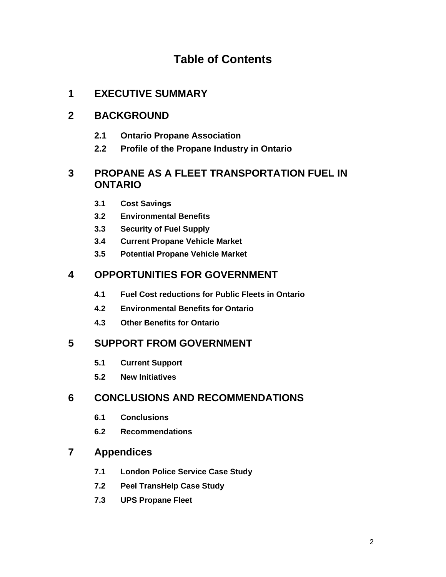# **Table of Contents**

## **1 EXECUTIVE SUMMARY**

## **2 BACKGROUND**

- **2.1 Ontario Propane Association**
- **2.2 Profile of the Propane Industry in Ontario**

## **3 PROPANE AS A FLEET TRANSPORTATION FUEL IN ONTARIO**

- **3.1 Cost Savings**
- **3.2 Environmental Benefits**
- **3.3 Security of Fuel Supply**
- **3.4 Current Propane Vehicle Market**
- **3.5 Potential Propane Vehicle Market**

## **4 OPPORTUNITIES FOR GOVERNMENT**

- **4.1 Fuel Cost reductions for Public Fleets in Ontario**
- **4.2 Environmental Benefits for Ontario**
- **4.3 Other Benefits for Ontario**

## **5 SUPPORT FROM GOVERNMENT**

- **5.1 Current Support**
- **5.2 New Initiatives**

## **6 CONCLUSIONS AND RECOMMENDATIONS**

- **6.1 Conclusions**
- **6.2 Recommendations**

## **7 Appendices**

- **7.1 London Police Service Case Study**
- **7.2 Peel TransHelp Case Study**
- **7.3 UPS Propane Fleet**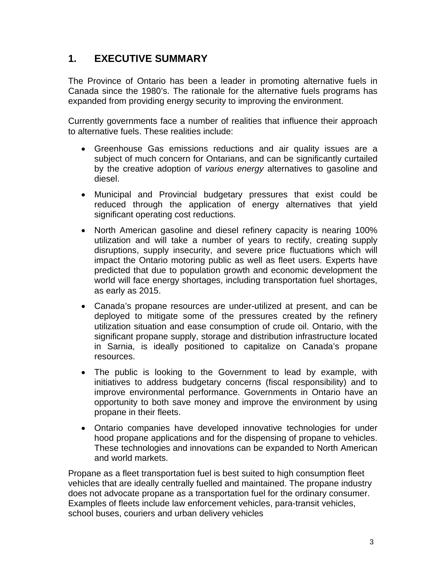## **1. EXECUTIVE SUMMARY**

The Province of Ontario has been a leader in promoting alternative fuels in Canada since the 1980's. The rationale for the alternative fuels programs has expanded from providing energy security to improving the environment.

Currently governments face a number of realities that influence their approach to alternative fuels. These realities include:

- Greenhouse Gas emissions reductions and air quality issues are a subject of much concern for Ontarians, and can be significantly curtailed by the creative adoption of *various energy* alternatives to gasoline and diesel.
- Municipal and Provincial budgetary pressures that exist could be reduced through the application of energy alternatives that yield significant operating cost reductions.
- North American gasoline and diesel refinery capacity is nearing 100% utilization and will take a number of years to rectify, creating supply disruptions, supply insecurity, and severe price fluctuations which will impact the Ontario motoring public as well as fleet users. Experts have predicted that due to population growth and economic development the world will face energy shortages, including transportation fuel shortages, as early as 2015.
- Canada's propane resources are under-utilized at present, and can be deployed to mitigate some of the pressures created by the refinery utilization situation and ease consumption of crude oil. Ontario, with the significant propane supply, storage and distribution infrastructure located in Sarnia, is ideally positioned to capitalize on Canada's propane resources.
- The public is looking to the Government to lead by example, with initiatives to address budgetary concerns (fiscal responsibility) and to improve environmental performance. Governments in Ontario have an opportunity to both save money and improve the environment by using propane in their fleets.
- Ontario companies have developed innovative technologies for under hood propane applications and for the dispensing of propane to vehicles. These technologies and innovations can be expanded to North American and world markets.

Propane as a fleet transportation fuel is best suited to high consumption fleet vehicles that are ideally centrally fuelled and maintained. The propane industry does not advocate propane as a transportation fuel for the ordinary consumer. Examples of fleets include law enforcement vehicles, para-transit vehicles, school buses, couriers and urban delivery vehicles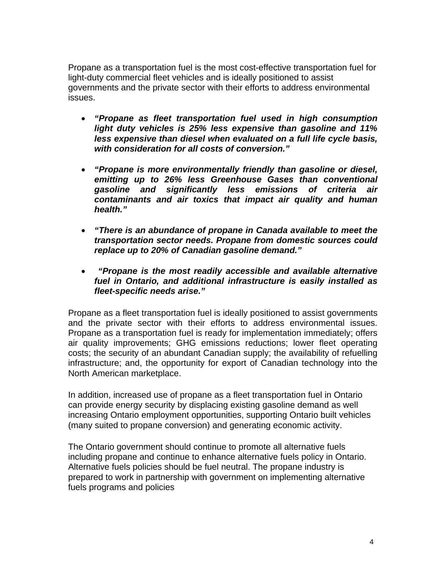Propane as a transportation fuel is the most cost-effective transportation fuel for light-duty commercial fleet vehicles and is ideally positioned to assist governments and the private sector with their efforts to address environmental issues.

- *"Propane as fleet transportation fuel used in high consumption light duty vehicles is 25% less expensive than gasoline and 11% less expensive than diesel when evaluated on a full life cycle basis, with consideration for all costs of conversion."*
- *"Propane is more environmentally friendly than gasoline or diesel, emitting up to 26% less Greenhouse Gases than conventional gasoline and significantly less emissions of criteria air contaminants and air toxics that impact air quality and human health."*
- *"There is an abundance of propane in Canada available to meet the transportation sector needs. Propane from domestic sources could replace up to 20% of Canadian gasoline demand."*
- • *"Propane is the most readily accessible and available alternative fuel in Ontario, and additional infrastructure is easily installed as fleet-specific needs arise."*

Propane as a fleet transportation fuel is ideally positioned to assist governments and the private sector with their efforts to address environmental issues. Propane as a transportation fuel is ready for implementation immediately; offers air quality improvements; GHG emissions reductions; lower fleet operating costs; the security of an abundant Canadian supply; the availability of refuelling infrastructure; and, the opportunity for export of Canadian technology into the North American marketplace.

In addition, increased use of propane as a fleet transportation fuel in Ontario can provide energy security by displacing existing gasoline demand as well increasing Ontario employment opportunities, supporting Ontario built vehicles (many suited to propane conversion) and generating economic activity.

The Ontario government should continue to promote all alternative fuels including propane and continue to enhance alternative fuels policy in Ontario. Alternative fuels policies should be fuel neutral. The propane industry is prepared to work in partnership with government on implementing alternative fuels programs and policies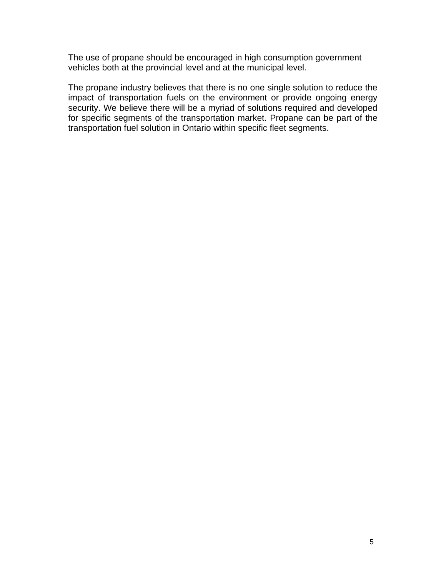The use of propane should be encouraged in high consumption government vehicles both at the provincial level and at the municipal level.

The propane industry believes that there is no one single solution to reduce the impact of transportation fuels on the environment or provide ongoing energy security. We believe there will be a myriad of solutions required and developed for specific segments of the transportation market. Propane can be part of the transportation fuel solution in Ontario within specific fleet segments.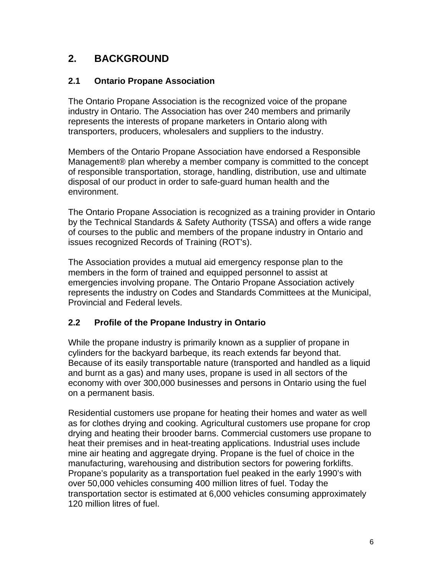# **2. BACKGROUND**

#### **2.1 Ontario Propane Association**

The Ontario Propane Association is the recognized voice of the propane industry in Ontario. The Association has over 240 members and primarily represents the interests of propane marketers in Ontario along with transporters, producers, wholesalers and suppliers to the industry.

Members of the Ontario Propane Association have endorsed a Responsible Management® plan whereby a member company is committed to the concept of responsible transportation, storage, handling, distribution, use and ultimate disposal of our product in order to safe-guard human health and the environment.

The Ontario Propane Association is recognized as a training provider in Ontario by the Technical Standards & Safety Authority (TSSA) and offers a wide range of courses to the public and members of the propane industry in Ontario and issues recognized Records of Training (ROT's).

The Association provides a mutual aid emergency response plan to the members in the form of trained and equipped personnel to assist at emergencies involving propane. The Ontario Propane Association actively represents the industry on Codes and Standards Committees at the Municipal, Provincial and Federal levels.

#### **2.2 Profile of the Propane Industry in Ontario**

While the propane industry is primarily known as a supplier of propane in cylinders for the backyard barbeque, its reach extends far beyond that. Because of its easily transportable nature (transported and handled as a liquid and burnt as a gas) and many uses, propane is used in all sectors of the economy with over 300,000 businesses and persons in Ontario using the fuel on a permanent basis.

Residential customers use propane for heating their homes and water as well as for clothes drying and cooking. Agricultural customers use propane for crop drying and heating their brooder barns. Commercial customers use propane to heat their premises and in heat-treating applications. Industrial uses include mine air heating and aggregate drying. Propane is the fuel of choice in the manufacturing, warehousing and distribution sectors for powering forklifts. Propane's popularity as a transportation fuel peaked in the early 1990's with over 50,000 vehicles consuming 400 million litres of fuel. Today the transportation sector is estimated at 6,000 vehicles consuming approximately 120 million litres of fuel.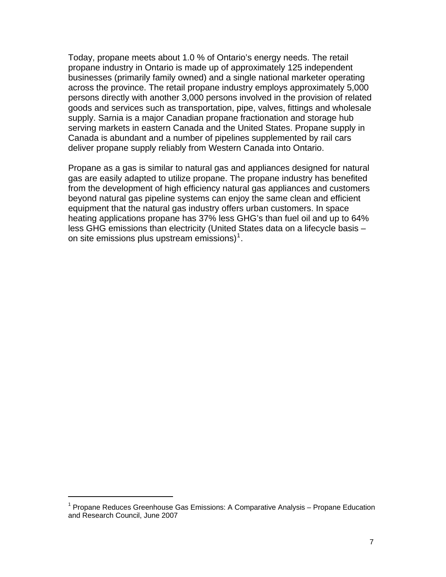Today, propane meets about 1.0 % of Ontario's energy needs. The retail propane industry in Ontario is made up of approximately 125 independent businesses (primarily family owned) and a single national marketer operating across the province. The retail propane industry employs approximately 5,000 persons directly with another 3,000 persons involved in the provision of related goods and services such as transportation, pipe, valves, fittings and wholesale supply. Sarnia is a major Canadian propane fractionation and storage hub serving markets in eastern Canada and the United States. Propane supply in Canada is abundant and a number of pipelines supplemented by rail cars deliver propane supply reliably from Western Canada into Ontario.

Propane as a gas is similar to natural gas and appliances designed for natural gas are easily adapted to utilize propane. The propane industry has benefited from the development of high efficiency natural gas appliances and customers beyond natural gas pipeline systems can enjoy the same clean and efficient equipment that the natural gas industry offers urban customers. In space heating applications propane has 37% less GHG's than fuel oil and up to 64% less GHG emissions than electricity (United States data on a lifecycle basis – on site emissions plus upstream emissions)<sup>[1](#page-6-0)</sup>.

<span id="page-6-0"></span><sup>&</sup>lt;sup>1</sup> Propane Reduces Greenhouse Gas Emissions: A Comparative Analysis – Propane Education and Research Council, June 2007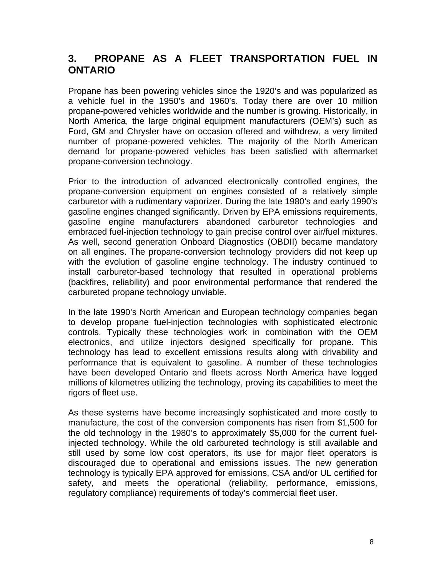# **3. PROPANE AS A FLEET TRANSPORTATION FUEL IN ONTARIO**

Propane has been powering vehicles since the 1920's and was popularized as a vehicle fuel in the 1950's and 1960's. Today there are over 10 million propane-powered vehicles worldwide and the number is growing. Historically, in North America, the large original equipment manufacturers (OEM's) such as Ford, GM and Chrysler have on occasion offered and withdrew, a very limited number of propane-powered vehicles. The majority of the North American demand for propane-powered vehicles has been satisfied with aftermarket propane-conversion technology.

Prior to the introduction of advanced electronically controlled engines, the propane-conversion equipment on engines consisted of a relatively simple carburetor with a rudimentary vaporizer. During the late 1980's and early 1990's gasoline engines changed significantly. Driven by EPA emissions requirements, gasoline engine manufacturers abandoned carburetor technologies and embraced fuel-injection technology to gain precise control over air/fuel mixtures. As well, second generation Onboard Diagnostics (OBDII) became mandatory on all engines. The propane-conversion technology providers did not keep up with the evolution of gasoline engine technology. The industry continued to install carburetor-based technology that resulted in operational problems (backfires, reliability) and poor environmental performance that rendered the carbureted propane technology unviable.

In the late 1990's North American and European technology companies began to develop propane fuel-injection technologies with sophisticated electronic controls. Typically these technologies work in combination with the OEM electronics, and utilize injectors designed specifically for propane. This technology has lead to excellent emissions results along with drivability and performance that is equivalent to gasoline. A number of these technologies have been developed Ontario and fleets across North America have logged millions of kilometres utilizing the technology, proving its capabilities to meet the rigors of fleet use.

As these systems have become increasingly sophisticated and more costly to manufacture, the cost of the conversion components has risen from \$1,500 for the old technology in the 1980's to approximately \$5,000 for the current fuelinjected technology. While the old carbureted technology is still available and still used by some low cost operators, its use for major fleet operators is discouraged due to operational and emissions issues. The new generation technology is typically EPA approved for emissions, CSA and/or UL certified for safety, and meets the operational (reliability, performance, emissions, regulatory compliance) requirements of today's commercial fleet user.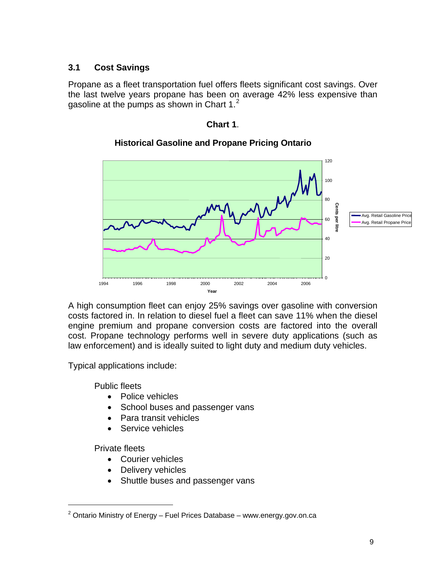#### **3.1 Cost Savings**

Propane as a fleet transportation fuel offers fleets significant cost savings. Over the last twelve years propane has been on average 42% less expensive than gasoline at the pumps as shown in Chart  $1<sup>2</sup>$  $1<sup>2</sup>$  $1<sup>2</sup>$ 

**Chart 1**.



#### **Historical Gasoline and Propane Pricing Ontario**

A high consumption fleet can enjoy 25% savings over gasoline with conversion costs factored in. In relation to diesel fuel a fleet can save 11% when the diesel engine premium and propane conversion costs are factored into the overall cost. Propane technology performs well in severe duty applications (such as law enforcement) and is ideally suited to light duty and medium duty vehicles.

Typical applications include:

Public fleets

- Police vehicles
- School buses and passenger vans
- Para transit vehicles
- Service vehicles

Private fleets

- Courier vehicles
- Delivery vehicles
- Shuttle buses and passenger vans

<span id="page-8-0"></span> $2$  Ontario Ministry of Energy – Fuel Prices Database – www.energy.gov.on.ca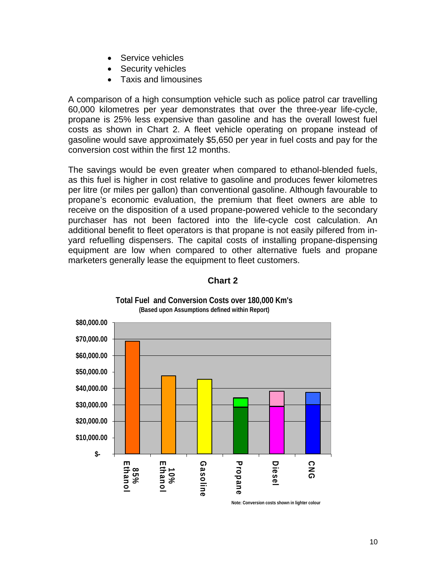- Service vehicles
- **Security vehicles**
- Taxis and limousines

A comparison of a high consumption vehicle such as police patrol car travelling 60,000 kilometres per year demonstrates that over the three-year life-cycle, propane is 25% less expensive than gasoline and has the overall lowest fuel costs as shown in Chart 2. A fleet vehicle operating on propane instead of gasoline would save approximately \$5,650 per year in fuel costs and pay for the conversion cost within the first 12 months.

The savings would be even greater when compared to ethanol-blended fuels, as this fuel is higher in cost relative to gasoline and produces fewer kilometres per litre (or miles per gallon) than conventional gasoline. Although favourable to propane's economic evaluation, the premium that fleet owners are able to receive on the disposition of a used propane-powered vehicle to the secondary purchaser has not been factored into the life-cycle cost calculation. An additional benefit to fleet operators is that propane is not easily pilfered from inyard refuelling dispensers. The capital costs of installing propane-dispensing equipment are low when compared to other alternative fuels and propane marketers generally lease the equipment to fleet customers.



**Chart 2** 

**Total Fuel and Conversion Costs over 180,000 Km's**

**Note: Conversion costs shown in lighter colour**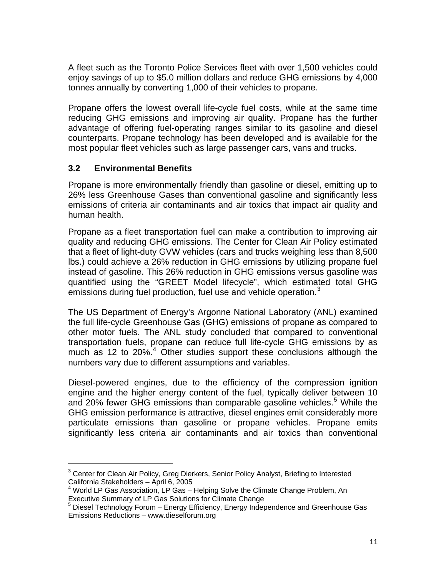A fleet such as the Toronto Police Services fleet with over 1,500 vehicles could enjoy savings of up to \$5.0 million dollars and reduce GHG emissions by 4,000 tonnes annually by converting 1,000 of their vehicles to propane.

Propane offers the lowest overall life-cycle fuel costs, while at the same time reducing GHG emissions and improving air quality. Propane has the further advantage of offering fuel-operating ranges similar to its gasoline and diesel counterparts. Propane technology has been developed and is available for the most popular fleet vehicles such as large passenger cars, vans and trucks.

#### **3.2 Environmental Benefits**

Propane is more environmentally friendly than gasoline or diesel, emitting up to 26% less Greenhouse Gases than conventional gasoline and significantly less emissions of criteria air contaminants and air toxics that impact air quality and human health.

Propane as a fleet transportation fuel can make a contribution to improving air quality and reducing GHG emissions. The Center for Clean Air Policy estimated that a fleet of light-duty GVW vehicles (cars and trucks weighing less than 8,500 lbs.) could achieve a 26% reduction in GHG emissions by utilizing propane fuel instead of gasoline. This 26% reduction in GHG emissions versus gasoline was quantified using the "GREET Model lifecycle", which estimated total GHG emissions during fuel production, fuel use and vehicle operation. $3$ 

The US Department of Energy's Argonne National Laboratory (ANL) examined the full life-cycle Greenhouse Gas (GHG) emissions of propane as compared to other motor fuels. The ANL study concluded that compared to conventional transportation fuels, propane can reduce full life-cycle GHG emissions by as much as 12 to 20%. $4$  Other studies support these conclusions although the numbers vary due to different assumptions and variables.

Diesel-powered engines, due to the efficiency of the compression ignition engine and the higher energy content of the fuel, typically deliver between 10 and 20% fewer GHG emissions than comparable gasoline vehicles.<sup>[5](#page-10-2)</sup> While the GHG emission performance is attractive, diesel engines emit considerably more particulate emissions than gasoline or propane vehicles. Propane emits significantly less criteria air contaminants and air toxics than conventional

<span id="page-10-0"></span><sup>&</sup>lt;sup>3</sup> Center for Clean Air Policy, Greg Dierkers, Senior Policy Analyst, Briefing to Interested California Stakeholders – April 6, 2005

<span id="page-10-1"></span><sup>&</sup>lt;sup>4</sup> World LP Gas Association, LP Gas - Helping Solve the Climate Change Problem, An Executive Summary of LP Gas Solutions for Climate Change<br><sup>5</sup> Disase Technology Ferum - Fressy Efficiency, Fressy Index

<span id="page-10-2"></span>Diesel Technology Forum – Energy Efficiency, Energy Independence and Greenhouse Gas Emissions Reductions – www.dieselforum.org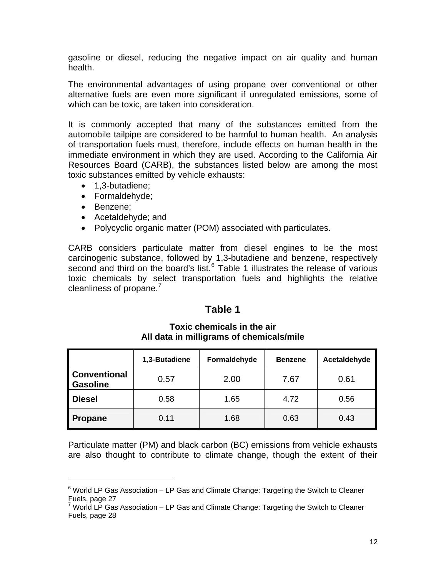gasoline or diesel, reducing the negative impact on air quality and human health.

The environmental advantages of using propane over conventional or other alternative fuels are even more significant if unregulated emissions, some of which can be toxic, are taken into consideration.

It is commonly accepted that many of the substances emitted from the automobile tailpipe are considered to be harmful to human health. An analysis of transportation fuels must, therefore, include effects on human health in the immediate environment in which they are used. According to the California Air Resources Board (CARB), the substances listed below are among the most toxic substances emitted by vehicle exhausts:

- 1,3-butadiene;
- Formaldehyde;
- Benzene;

- Acetaldehyde; and
- Polycyclic organic matter (POM) associated with particulates.

CARB considers particulate matter from diesel engines to be the most carcinogenic substance, followed by 1,3-butadiene and benzene, respectively second and third on the board's list. $6$  Table 1 illustrates the release of various toxic chemicals by select transportation fuels and highlights the relative cleanliness of propane.<sup>[7](#page-11-1)</sup>

## **Table 1**

|                                        | 1,3-Butadiene | Formaldehyde | <b>Benzene</b> | Acetaldehyde |
|----------------------------------------|---------------|--------------|----------------|--------------|
| <b>Conventional</b><br><b>Gasoline</b> | 0.57          | 2.00         | 7.67           | 0.61         |
| <b>Diesel</b>                          | 0.58          | 1.65         | 4.72           | 0.56         |
| <b>Propane</b>                         | 0.11          | 1.68         | 0.63           | 0.43         |

#### **Toxic chemicals in the air All data in milligrams of chemicals/mile**

Particulate matter (PM) and black carbon (BC) emissions from vehicle exhausts are also thought to contribute to climate change, though the extent of their

<span id="page-11-0"></span> $6$  World LP Gas Association – LP Gas and Climate Change: Targeting the Switch to Cleaner Fuels, page 27

<span id="page-11-1"></span> $7$  World LP Gas Association – LP Gas and Climate Change: Targeting the Switch to Cleaner Fuels, page 28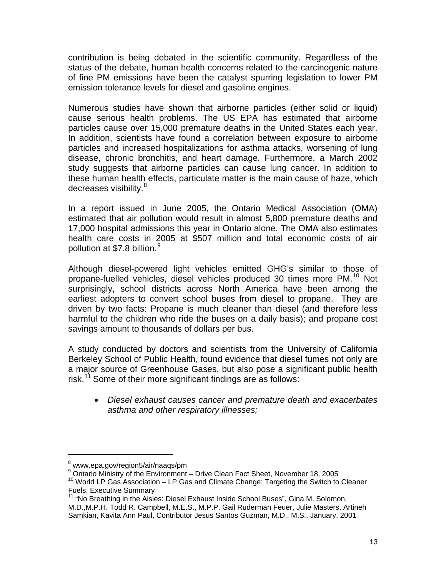contribution is being debated in the scientific community. Regardless of the status of the debate, human health concerns related to the carcinogenic nature of fine PM emissions have been the catalyst spurring legislation to lower PM emission tolerance levels for diesel and gasoline engines.

Numerous studies have shown that airborne particles (either solid or liquid) cause serious health problems. The US EPA has estimated that airborne particles cause over 15,000 premature deaths in the United States each year. In addition, scientists have found a correlation between exposure to airborne particles and increased hospitalizations for asthma attacks, worsening of lung disease, chronic bronchitis, and heart damage. Furthermore, a March 2002 study suggests that airborne particles can cause lung cancer. In addition to these human health effects, particulate matter is the main cause of haze, which decreases visibility.<sup>[8](#page-12-0)</sup>

In a report issued in June 2005, the Ontario Medical Association (OMA) estimated that air pollution would result in almost 5,800 premature deaths and 17,000 hospital admissions this year in Ontario alone. The OMA also estimates health care costs in 2005 at \$507 million and total economic costs of air pollution at \$7.8 billion.<sup>[9](#page-12-1)</sup>

Although diesel-powered light vehicles emitted GHG's similar to those of propane-fuelled vehicles, diesel vehicles produced 30 times more PM.<sup>[10](#page-12-2)</sup> Not surprisingly, school districts across North America have been among the earliest adopters to convert school buses from diesel to propane. They are driven by two facts: Propane is much cleaner than diesel (and therefore less harmful to the children who ride the buses on a daily basis); and propane cost savings amount to thousands of dollars per bus.

A study conducted by doctors and scientists from the University of California Berkeley School of Public Health, found evidence that diesel fumes not only are a major source of Greenhouse Gases, but also pose a significant public health risk.<sup>[11](#page-12-3)</sup> Some of their more significant findings are as follows:

• *Diesel exhaust causes cancer and premature death and exacerbates asthma and other respiratory illnesses;* 

<span id="page-12-0"></span><sup>&</sup>lt;sup>8</sup> www.epa.gov/region5/air/naaqs/pm

<span id="page-12-1"></span><sup>&</sup>lt;sup>9</sup> Ontario Ministry of the Environment - Drive Clean Fact Sheet, November 18, 2005

<span id="page-12-2"></span> $10$  World LP Gas Association – LP Gas and Climate Change: Targeting the Switch to Cleaner Fuels, Executive Summary

<span id="page-12-3"></span><sup>11 &</sup>quot;No Breathing in the Aisles: Diesel Exhaust Inside School Buses", Gina M. Solomon, M.D.,M.P.H. Todd R. Campbell, M.E.S., M.P.P. Gail Ruderman Feuer, Julie Masters, Artineh Samkian, Kavita Ann Paul, Contributor Jesus Santos Guzman, M.D., M.S., January, 2001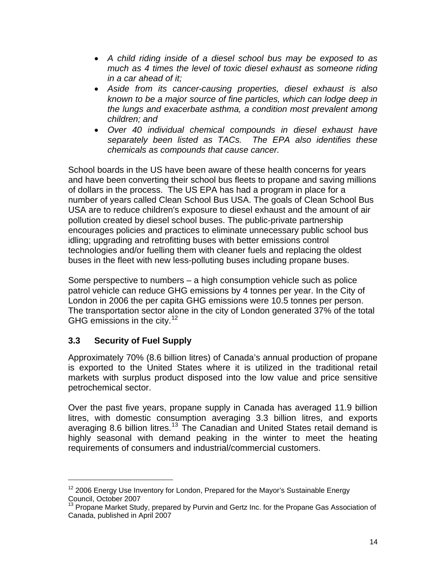- *A child riding inside of a diesel school bus may be exposed to as much as 4 times the level of toxic diesel exhaust as someone riding in a car ahead of it;*
- *Aside from its cancer-causing properties, diesel exhaust is also known to be a major source of fine particles, which can lodge deep in the lungs and exacerbate asthma, a condition most prevalent among children; and*
- *Over 40 individual chemical compounds in diesel exhaust have separately been listed as TACs. The EPA also identifies these chemicals as compounds that cause cancer.*

School boards in the US have been aware of these health concerns for years and have been converting their school bus fleets to propane and saving millions of dollars in the process. The US EPA has had a program in place for a number of years called Clean School Bus USA. The goals of Clean School Bus USA are to reduce children's exposure to diesel exhaust and the amount of air pollution created by diesel school buses. The public-private partnership encourages policies and practices to eliminate unnecessary public school bus idling; upgrading and retrofitting buses with better emissions control technologies and/or fuelling them with cleaner fuels and replacing the oldest buses in the fleet with new less-polluting buses including propane buses.

Some perspective to numbers – a high consumption vehicle such as police patrol vehicle can reduce GHG emissions by 4 tonnes per year. In the City of London in 2006 the per capita GHG emissions were 10.5 tonnes per person. The transportation sector alone in the city of London generated 37% of the total GHG emissions in the city.<sup>[12](#page-13-0)</sup>

## **3.3 Security of Fuel Supply**

Approximately 70% (8.6 billion litres) of Canada's annual production of propane is exported to the United States where it is utilized in the traditional retail markets with surplus product disposed into the low value and price sensitive petrochemical sector.

Over the past five years, propane supply in Canada has averaged 11.9 billion litres, with domestic consumption averaging 3.3 billion litres, and exports averaging 8.6 billion litres.<sup>[13](#page-13-1)</sup> The Canadian and United States retail demand is highly seasonal with demand peaking in the winter to meet the heating requirements of consumers and industrial/commercial customers.

<span id="page-13-0"></span><sup>&</sup>lt;sup>12</sup> 2006 Energy Use Inventory for London, Prepared for the Mayor's Sustainable Energy Council, October 2007

<span id="page-13-1"></span><sup>&</sup>lt;sup>1</sup> Propane Market Study, prepared by Purvin and Gertz Inc. for the Propane Gas Association of Canada, published in April 2007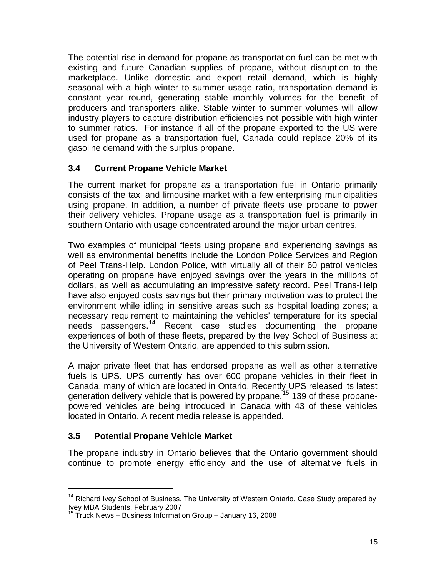The potential rise in demand for propane as transportation fuel can be met with existing and future Canadian supplies of propane, without disruption to the marketplace. Unlike domestic and export retail demand, which is highly seasonal with a high winter to summer usage ratio, transportation demand is constant year round, generating stable monthly volumes for the benefit of producers and transporters alike. Stable winter to summer volumes will allow industry players to capture distribution efficiencies not possible with high winter to summer ratios. For instance if all of the propane exported to the US were used for propane as a transportation fuel, Canada could replace 20% of its gasoline demand with the surplus propane.

#### **3.4 Current Propane Vehicle Market**

The current market for propane as a transportation fuel in Ontario primarily consists of the taxi and limousine market with a few enterprising municipalities using propane. In addition, a number of private fleets use propane to power their delivery vehicles. Propane usage as a transportation fuel is primarily in southern Ontario with usage concentrated around the major urban centres.

Two examples of municipal fleets using propane and experiencing savings as well as environmental benefits include the London Police Services and Region of Peel Trans-Help. London Police, with virtually all of their 60 patrol vehicles operating on propane have enjoyed savings over the years in the millions of dollars, as well as accumulating an impressive safety record. Peel Trans-Help have also enjoyed costs savings but their primary motivation was to protect the environment while idling in sensitive areas such as hospital loading zones; a necessary requirement to maintaining the vehicles' temperature for its special needs passengers.[14](#page-14-0) Recent case studies documenting the propane experiences of both of these fleets, prepared by the Ivey School of Business at the University of Western Ontario, are appended to this submission.

A major private fleet that has endorsed propane as well as other alternative fuels is UPS. UPS currently has over 600 propane vehicles in their fleet in Canada, many of which are located in Ontario. Recently UPS released its latest generation delivery vehicle that is powered by propane.<sup>[15](#page-14-1)</sup> 139 of these propanepowered vehicles are being introduced in Canada with 43 of these vehicles located in Ontario. A recent media release is appended.

#### **3.5 Potential Propane Vehicle Market**

The propane industry in Ontario believes that the Ontario government should continue to promote energy efficiency and the use of alternative fuels in

<span id="page-14-0"></span> $14$  Richard Ivey School of Business, The University of Western Ontario, Case Study prepared by Ivey MBA Students, February 2007

<span id="page-14-1"></span><sup>&</sup>lt;sup>15</sup> Truck News – Business Information Group – January 16, 2008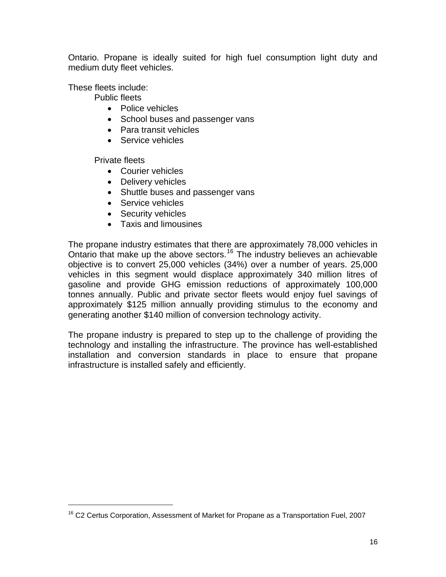Ontario. Propane is ideally suited for high fuel consumption light duty and medium duty fleet vehicles.

These fleets include:

Public fleets

- Police vehicles
- School buses and passenger vans
- Para transit vehicles
- Service vehicles

Private fleets

- Courier vehicles
- Delivery vehicles
- Shuttle buses and passenger vans
- Service vehicles
- Security vehicles
- Taxis and limousines

The propane industry estimates that there are approximately 78,000 vehicles in Ontario that make up the above sectors.<sup>[16](#page-15-0)</sup> The industry believes an achievable objective is to convert 25,000 vehicles (34%) over a number of years. 25,000 vehicles in this segment would displace approximately 340 million litres of gasoline and provide GHG emission reductions of approximately 100,000 tonnes annually. Public and private sector fleets would enjoy fuel savings of approximately \$125 million annually providing stimulus to the economy and generating another \$140 million of conversion technology activity.

The propane industry is prepared to step up to the challenge of providing the technology and installing the infrastructure. The province has well-established installation and conversion standards in place to ensure that propane infrastructure is installed safely and efficiently.

<span id="page-15-0"></span><sup>&</sup>lt;sup>16</sup> C2 Certus Corporation, Assessment of Market for Propane as a Transportation Fuel, 2007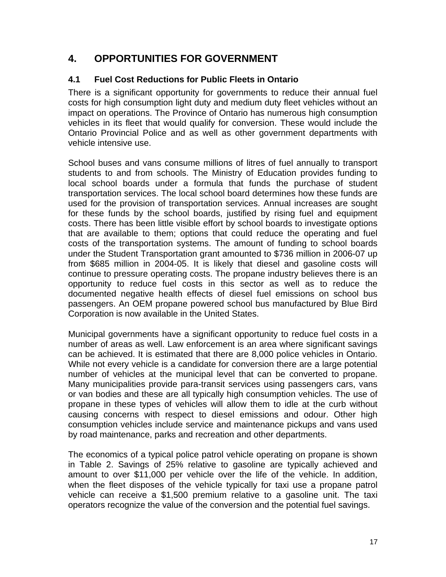# **4. OPPORTUNITIES FOR GOVERNMENT**

### **4.1 Fuel Cost Reductions for Public Fleets in Ontario**

There is a significant opportunity for governments to reduce their annual fuel costs for high consumption light duty and medium duty fleet vehicles without an impact on operations. The Province of Ontario has numerous high consumption vehicles in its fleet that would qualify for conversion. These would include the Ontario Provincial Police and as well as other government departments with vehicle intensive use.

School buses and vans consume millions of litres of fuel annually to transport students to and from schools. The Ministry of Education provides funding to local school boards under a formula that funds the purchase of student transportation services. The local school board determines how these funds are used for the provision of transportation services. Annual increases are sought for these funds by the school boards, justified by rising fuel and equipment costs. There has been little visible effort by school boards to investigate options that are available to them; options that could reduce the operating and fuel costs of the transportation systems. The amount of funding to school boards under the Student Transportation grant amounted to \$736 million in 2006-07 up from \$685 million in 2004-05. It is likely that diesel and gasoline costs will continue to pressure operating costs. The propane industry believes there is an opportunity to reduce fuel costs in this sector as well as to reduce the documented negative health effects of diesel fuel emissions on school bus passengers. An OEM propane powered school bus manufactured by Blue Bird Corporation is now available in the United States.

Municipal governments have a significant opportunity to reduce fuel costs in a number of areas as well. Law enforcement is an area where significant savings can be achieved. It is estimated that there are 8,000 police vehicles in Ontario. While not every vehicle is a candidate for conversion there are a large potential number of vehicles at the municipal level that can be converted to propane. Many municipalities provide para-transit services using passengers cars, vans or van bodies and these are all typically high consumption vehicles. The use of propane in these types of vehicles will allow them to idle at the curb without causing concerns with respect to diesel emissions and odour. Other high consumption vehicles include service and maintenance pickups and vans used by road maintenance, parks and recreation and other departments.

The economics of a typical police patrol vehicle operating on propane is shown in Table 2. Savings of 25% relative to gasoline are typically achieved and amount to over \$11,000 per vehicle over the life of the vehicle. In addition, when the fleet disposes of the vehicle typically for taxi use a propane patrol vehicle can receive a \$1,500 premium relative to a gasoline unit. The taxi operators recognize the value of the conversion and the potential fuel savings.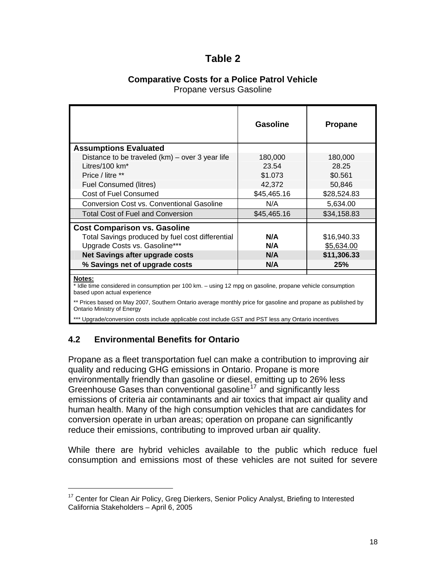## **Table 2**

### **Comparative Costs for a Police Patrol Vehicle**

Propane versus Gasoline

|                                                                                                                  | Gasoline    | <b>Propane</b> |
|------------------------------------------------------------------------------------------------------------------|-------------|----------------|
| <b>Assumptions Evaluated</b>                                                                                     |             |                |
| Distance to be traveled $(km)$ – over 3 year life                                                                | 180,000     | 180,000        |
| Litres/100 km <sup>*</sup>                                                                                       | 23.54       | 28.25          |
| Price / litre **                                                                                                 | \$1.073     | \$0.561        |
| <b>Fuel Consumed (litres)</b>                                                                                    | 42,372      | 50,846         |
| <b>Cost of Fuel Consumed</b>                                                                                     | \$45,465.16 | \$28,524.83    |
| <b>Conversion Cost vs. Conventional Gasoline</b>                                                                 | N/A         | 5,634.00       |
| Total Cost of Fuel and Conversion                                                                                | \$45,465.16 | \$34,158.83    |
| <b>Cost Comparison vs. Gasoline</b>                                                                              |             |                |
| Total Savings produced by fuel cost differential                                                                 | N/A         | \$16,940.33    |
| Upgrade Costs vs. Gasoline***                                                                                    | N/A         | \$5,634.00     |
| Net Savings after upgrade costs                                                                                  | N/A         | \$11,306.33    |
| % Savings net of upgrade costs                                                                                   | N/A         | 25%            |
| Notes:<br>t ldlo time considered in consumption per 100 km suping 12 mpg on goodine, prepans vehicle consumption |             |                |

Idle time considered in consumption per 100 km. – using 12 mpg on gasoline, propane vehicle consumption based upon actual experience

\*\* Prices based on May 2007, Southern Ontario average monthly price for gasoline and propane as published by Ontario Ministry of Energy

\*\*\* Upgrade/conversion costs include applicable cost include GST and PST less any Ontario incentives

#### **4.2 Environmental Benefits for Ontario**

Propane as a fleet transportation fuel can make a contribution to improving air quality and reducing GHG emissions in Ontario. Propane is more environmentally friendly than gasoline or diesel, emitting up to 26% less Greenhouse Gases than conventional gasoline<sup> $17$ </sup> and significantly less emissions of criteria air contaminants and air toxics that impact air quality and human health. Many of the high consumption vehicles that are candidates for conversion operate in urban areas; operation on propane can significantly reduce their emissions, contributing to improved urban air quality.

While there are hybrid vehicles available to the public which reduce fuel consumption and emissions most of these vehicles are not suited for severe

<span id="page-17-0"></span><sup>&</sup>lt;sup>17</sup> Center for Clean Air Policy, Greg Dierkers, Senior Policy Analyst, Briefing to Interested California Stakeholders – April 6, 2005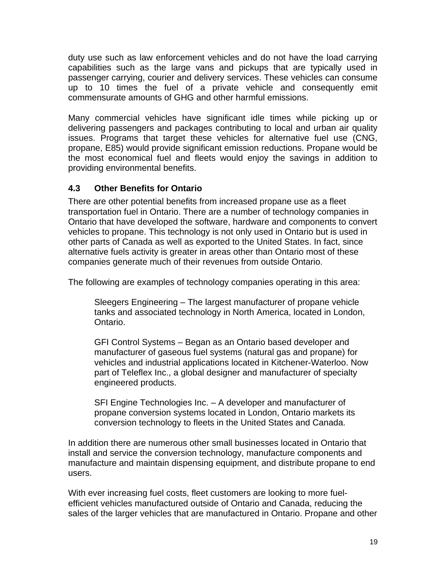duty use such as law enforcement vehicles and do not have the load carrying capabilities such as the large vans and pickups that are typically used in passenger carrying, courier and delivery services. These vehicles can consume up to 10 times the fuel of a private vehicle and consequently emit commensurate amounts of GHG and other harmful emissions.

Many commercial vehicles have significant idle times while picking up or delivering passengers and packages contributing to local and urban air quality issues. Programs that target these vehicles for alternative fuel use (CNG, propane, E85) would provide significant emission reductions. Propane would be the most economical fuel and fleets would enjoy the savings in addition to providing environmental benefits.

### **4.3 Other Benefits for Ontario**

There are other potential benefits from increased propane use as a fleet transportation fuel in Ontario. There are a number of technology companies in Ontario that have developed the software, hardware and components to convert vehicles to propane. This technology is not only used in Ontario but is used in other parts of Canada as well as exported to the United States. In fact, since alternative fuels activity is greater in areas other than Ontario most of these companies generate much of their revenues from outside Ontario.

The following are examples of technology companies operating in this area:

Sleegers Engineering – The largest manufacturer of propane vehicle tanks and associated technology in North America, located in London, Ontario.

GFI Control Systems – Began as an Ontario based developer and manufacturer of gaseous fuel systems (natural gas and propane) for vehicles and industrial applications located in Kitchener-Waterloo. Now part of Teleflex Inc., a global designer and manufacturer of specialty engineered products.

SFI Engine Technologies Inc. – A developer and manufacturer of propane conversion systems located in London, Ontario markets its conversion technology to fleets in the United States and Canada.

In addition there are numerous other small businesses located in Ontario that install and service the conversion technology, manufacture components and manufacture and maintain dispensing equipment, and distribute propane to end users.

With ever increasing fuel costs, fleet customers are looking to more fuelefficient vehicles manufactured outside of Ontario and Canada, reducing the sales of the larger vehicles that are manufactured in Ontario. Propane and other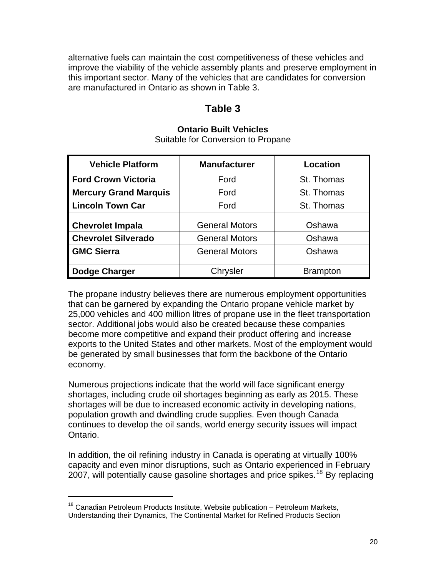alternative fuels can maintain the cost competitiveness of these vehicles and improve the viability of the vehicle assembly plants and preserve employment in this important sector. Many of the vehicles that are candidates for conversion are manufactured in Ontario as shown in Table 3.

## **Table 3**

#### **Ontario Built Vehicles**

Suitable for Conversion to Propane

| <b>Vehicle Platform</b>      | <b>Manufacturer</b>             | Location        |
|------------------------------|---------------------------------|-----------------|
| <b>Ford Crown Victoria</b>   | Ford                            | St. Thomas      |
| <b>Mercury Grand Marquis</b> | St. Thomas<br>Ford              |                 |
| <b>Lincoln Town Car</b>      | Ford                            | St. Thomas      |
|                              |                                 |                 |
| <b>Chevrolet Impala</b>      | <b>General Motors</b>           | Oshawa          |
| <b>Chevrolet Silverado</b>   | <b>General Motors</b>           | Oshawa          |
| <b>GMC Sierra</b>            | Oshawa<br><b>General Motors</b> |                 |
|                              |                                 |                 |
| Dodge Charger                | Chrysler                        | <b>Brampton</b> |

The propane industry believes there are numerous employment opportunities that can be garnered by expanding the Ontario propane vehicle market by 25,000 vehicles and 400 million litres of propane use in the fleet transportation sector. Additional jobs would also be created because these companies become more competitive and expand their product offering and increase exports to the United States and other markets. Most of the employment would be generated by small businesses that form the backbone of the Ontario economy.

Numerous projections indicate that the world will face significant energy shortages, including crude oil shortages beginning as early as 2015. These shortages will be due to increased economic activity in developing nations, population growth and dwindling crude supplies. Even though Canada continues to develop the oil sands, world energy security issues will impact Ontario.

In addition, the oil refining industry in Canada is operating at virtually 100% capacity and even minor disruptions, such as Ontario experienced in February 2007, will potentially cause gasoline shortages and price spikes.<sup>[18](#page-19-0)</sup> By replacing

<span id="page-19-0"></span> $18$  Canadian Petroleum Products Institute, Website publication – Petroleum Markets, Understanding their Dynamics, The Continental Market for Refined Products Section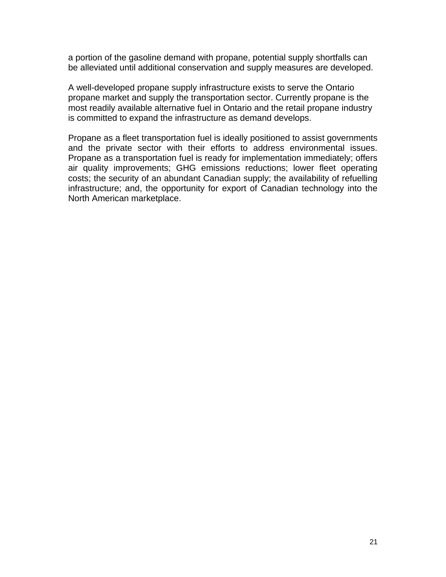a portion of the gasoline demand with propane, potential supply shortfalls can be alleviated until additional conservation and supply measures are developed.

A well-developed propane supply infrastructure exists to serve the Ontario propane market and supply the transportation sector. Currently propane is the most readily available alternative fuel in Ontario and the retail propane industry is committed to expand the infrastructure as demand develops.

Propane as a fleet transportation fuel is ideally positioned to assist governments and the private sector with their efforts to address environmental issues. Propane as a transportation fuel is ready for implementation immediately; offers air quality improvements; GHG emissions reductions; lower fleet operating costs; the security of an abundant Canadian supply; the availability of refuelling infrastructure; and, the opportunity for export of Canadian technology into the North American marketplace.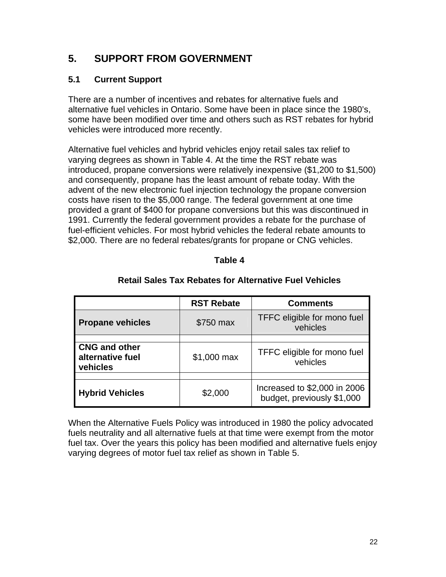# **5. SUPPORT FROM GOVERNMENT**

### **5.1 Current Support**

There are a number of incentives and rebates for alternative fuels and alternative fuel vehicles in Ontario. Some have been in place since the 1980's, some have been modified over time and others such as RST rebates for hybrid vehicles were introduced more recently.

Alternative fuel vehicles and hybrid vehicles enjoy retail sales tax relief to varying degrees as shown in Table 4. At the time the RST rebate was introduced, propane conversions were relatively inexpensive (\$1,200 to \$1,500) and consequently, propane has the least amount of rebate today. With the advent of the new electronic fuel injection technology the propane conversion costs have risen to the \$5,000 range. The federal government at one time provided a grant of \$400 for propane conversions but this was discontinued in 1991. Currently the federal government provides a rebate for the purchase of fuel-efficient vehicles. For most hybrid vehicles the federal rebate amounts to \$2,000. There are no federal rebates/grants for propane or CNG vehicles.

#### **Table 4**

|                                                      | <b>RST Rebate</b> | <b>Comments</b>                                            |
|------------------------------------------------------|-------------------|------------------------------------------------------------|
| <b>Propane vehicles</b>                              | \$750 max         | TFFC eligible for mono fuel<br>vehicles                    |
|                                                      |                   |                                                            |
| <b>CNG and other</b><br>alternative fuel<br>vehicles | \$1,000 max       | TFFC eligible for mono fuel<br>vehicles                    |
|                                                      |                   |                                                            |
| <b>Hybrid Vehicles</b>                               | \$2,000           | Increased to \$2,000 in 2006<br>budget, previously \$1,000 |

#### **Retail Sales Tax Rebates for Alternative Fuel Vehicles**

When the Alternative Fuels Policy was introduced in 1980 the policy advocated fuels neutrality and all alternative fuels at that time were exempt from the motor fuel tax. Over the years this policy has been modified and alternative fuels enjoy varying degrees of motor fuel tax relief as shown in Table 5.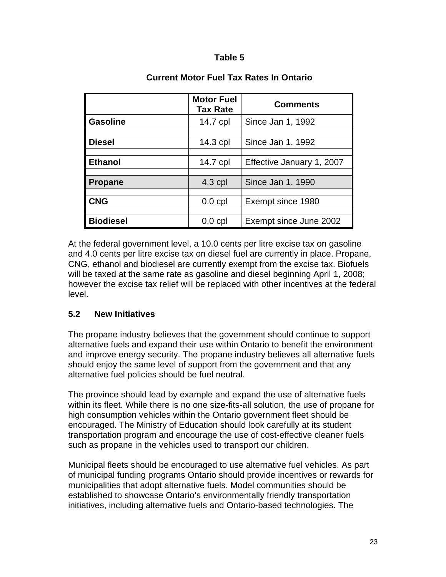#### **Table 5**

|                  | <b>Motor Fuel</b><br><b>Tax Rate</b> | <b>Comments</b>           |
|------------------|--------------------------------------|---------------------------|
| <b>Gasoline</b>  | 14.7 cpl                             | Since Jan 1, 1992         |
|                  |                                      |                           |
| <b>Diesel</b>    | $14.3$ cpl                           | Since Jan 1, 1992         |
|                  |                                      |                           |
| <b>Ethanol</b>   | 14.7 cpl                             | Effective January 1, 2007 |
|                  |                                      |                           |
| <b>Propane</b>   | $4.3$ cpl                            | Since Jan 1, 1990         |
|                  |                                      |                           |
| <b>CNG</b>       | $0.0$ cpl                            | Exempt since 1980         |
|                  |                                      |                           |
| <b>Biodiesel</b> | $0.0$ cpl                            | Exempt since June 2002    |

### **Current Motor Fuel Tax Rates In Ontario**

At the federal government level, a 10.0 cents per litre excise tax on gasoline and 4.0 cents per litre excise tax on diesel fuel are currently in place. Propane, CNG, ethanol and biodiesel are currently exempt from the excise tax. Biofuels will be taxed at the same rate as gasoline and diesel beginning April 1, 2008; however the excise tax relief will be replaced with other incentives at the federal level.

#### **5.2 New Initiatives**

The propane industry believes that the government should continue to support alternative fuels and expand their use within Ontario to benefit the environment and improve energy security. The propane industry believes all alternative fuels should enjoy the same level of support from the government and that any alternative fuel policies should be fuel neutral.

The province should lead by example and expand the use of alternative fuels within its fleet. While there is no one size-fits-all solution, the use of propane for high consumption vehicles within the Ontario government fleet should be encouraged. The Ministry of Education should look carefully at its student transportation program and encourage the use of cost-effective cleaner fuels such as propane in the vehicles used to transport our children.

Municipal fleets should be encouraged to use alternative fuel vehicles. As part of municipal funding programs Ontario should provide incentives or rewards for municipalities that adopt alternative fuels. Model communities should be established to showcase Ontario's environmentally friendly transportation initiatives, including alternative fuels and Ontario-based technologies. The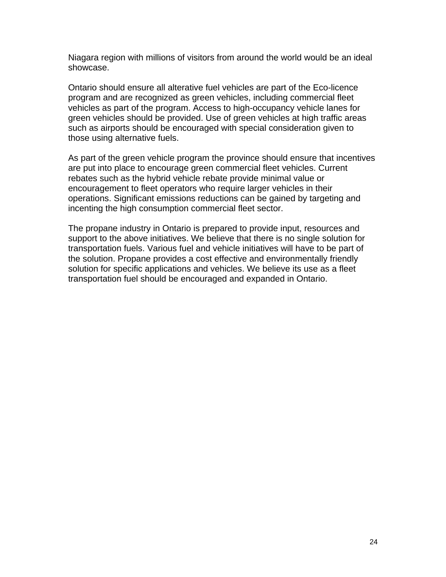Niagara region with millions of visitors from around the world would be an ideal showcase.

Ontario should ensure all alterative fuel vehicles are part of the Eco-licence program and are recognized as green vehicles, including commercial fleet vehicles as part of the program. Access to high-occupancy vehicle lanes for green vehicles should be provided. Use of green vehicles at high traffic areas such as airports should be encouraged with special consideration given to those using alternative fuels.

As part of the green vehicle program the province should ensure that incentives are put into place to encourage green commercial fleet vehicles. Current rebates such as the hybrid vehicle rebate provide minimal value or encouragement to fleet operators who require larger vehicles in their operations. Significant emissions reductions can be gained by targeting and incenting the high consumption commercial fleet sector.

The propane industry in Ontario is prepared to provide input, resources and support to the above initiatives. We believe that there is no single solution for transportation fuels. Various fuel and vehicle initiatives will have to be part of the solution. Propane provides a cost effective and environmentally friendly solution for specific applications and vehicles. We believe its use as a fleet transportation fuel should be encouraged and expanded in Ontario.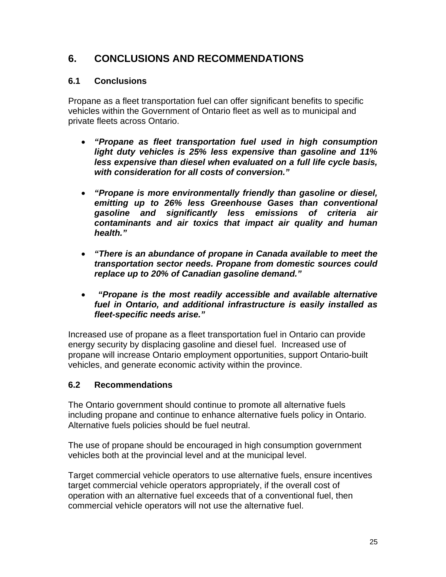# **6. CONCLUSIONS AND RECOMMENDATIONS**

#### **6.1 Conclusions**

Propane as a fleet transportation fuel can offer significant benefits to specific vehicles within the Government of Ontario fleet as well as to municipal and private fleets across Ontario.

- *"Propane as fleet transportation fuel used in high consumption light duty vehicles is 25% less expensive than gasoline and 11% less expensive than diesel when evaluated on a full life cycle basis, with consideration for all costs of conversion."*
- *"Propane is more environmentally friendly than gasoline or diesel, emitting up to 26% less Greenhouse Gases than conventional gasoline and significantly less emissions of criteria air contaminants and air toxics that impact air quality and human health."*
- *"There is an abundance of propane in Canada available to meet the transportation sector needs. Propane from domestic sources could replace up to 20% of Canadian gasoline demand."*
- • *"Propane is the most readily accessible and available alternative fuel in Ontario, and additional infrastructure is easily installed as fleet-specific needs arise."*

Increased use of propane as a fleet transportation fuel in Ontario can provide energy security by displacing gasoline and diesel fuel. Increased use of propane will increase Ontario employment opportunities, support Ontario-built vehicles, and generate economic activity within the province.

## **6.2 Recommendations**

The Ontario government should continue to promote all alternative fuels including propane and continue to enhance alternative fuels policy in Ontario. Alternative fuels policies should be fuel neutral.

The use of propane should be encouraged in high consumption government vehicles both at the provincial level and at the municipal level.

Target commercial vehicle operators to use alternative fuels, ensure incentives target commercial vehicle operators appropriately, if the overall cost of operation with an alternative fuel exceeds that of a conventional fuel, then commercial vehicle operators will not use the alternative fuel.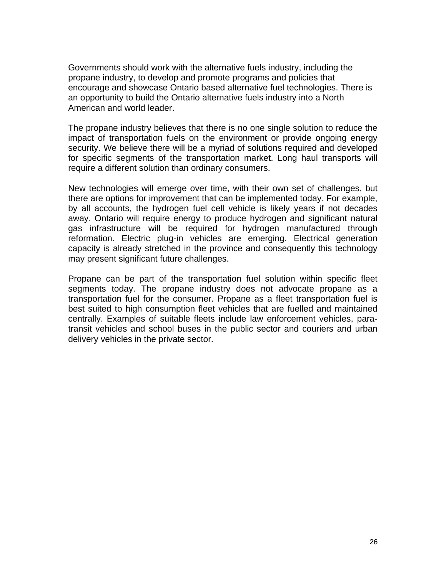Governments should work with the alternative fuels industry, including the propane industry, to develop and promote programs and policies that encourage and showcase Ontario based alternative fuel technologies. There is an opportunity to build the Ontario alternative fuels industry into a North American and world leader.

The propane industry believes that there is no one single solution to reduce the impact of transportation fuels on the environment or provide ongoing energy security. We believe there will be a myriad of solutions required and developed for specific segments of the transportation market. Long haul transports will require a different solution than ordinary consumers.

New technologies will emerge over time, with their own set of challenges, but there are options for improvement that can be implemented today. For example, by all accounts, the hydrogen fuel cell vehicle is likely years if not decades away. Ontario will require energy to produce hydrogen and significant natural gas infrastructure will be required for hydrogen manufactured through reformation. Electric plug-in vehicles are emerging. Electrical generation capacity is already stretched in the province and consequently this technology may present significant future challenges.

Propane can be part of the transportation fuel solution within specific fleet segments today. The propane industry does not advocate propane as a transportation fuel for the consumer. Propane as a fleet transportation fuel is best suited to high consumption fleet vehicles that are fuelled and maintained centrally. Examples of suitable fleets include law enforcement vehicles, paratransit vehicles and school buses in the public sector and couriers and urban delivery vehicles in the private sector.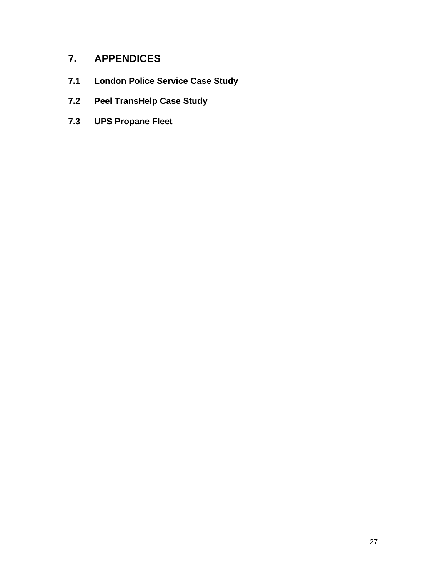# **7. APPENDICES**

- **7.1 London Police Service Case Study**
- **7.2 Peel TransHelp Case Study**
- **7.3 UPS Propane Fleet**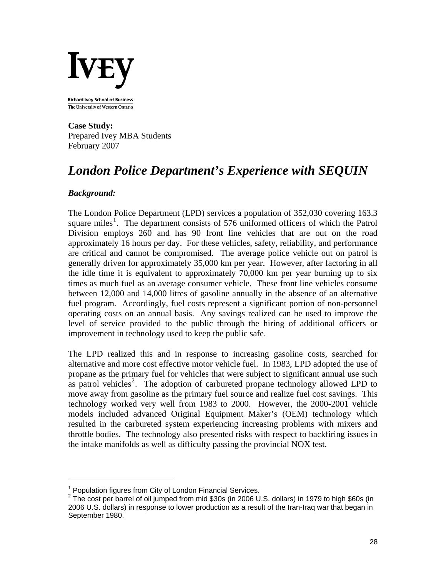

The University of Western Ontario

**Case Study:**  Prepared Ivey MBA Students February 2007

# *London Police Department's Experience with SEQUIN*

#### *Background:*

The London Police Department (LPD) services a population of 352,030 covering 163.3 square miles<sup>[1](#page-27-0)</sup>. The department consists of 576 uniformed officers of which the Patrol Division employs 260 and has 90 front line vehicles that are out on the road approximately 16 hours per day. For these vehicles, safety, reliability, and performance are critical and cannot be compromised. The average police vehicle out on patrol is generally driven for approximately 35,000 km per year. However, after factoring in all the idle time it is equivalent to approximately 70,000 km per year burning up to six times as much fuel as an average consumer vehicle. These front line vehicles consume between 12,000 and 14,000 litres of gasoline annually in the absence of an alternative fuel program. Accordingly, fuel costs represent a significant portion of non-personnel operating costs on an annual basis. Any savings realized can be used to improve the level of service provided to the public through the hiring of additional officers or improvement in technology used to keep the public safe.

The LPD realized this and in response to increasing gasoline costs, searched for alternative and more cost effective motor vehicle fuel. In 1983, LPD adopted the use of propane as the primary fuel for vehicles that were subject to significant annual use such as patrol vehicles<sup>[2](#page-27-1)</sup>. The adoption of carbureted propane technology allowed LPD to move away from gasoline as the primary fuel source and realize fuel cost savings. This technology worked very well from 1983 to 2000. However, the 2000-2001 vehicle models included advanced Original Equipment Maker's (OEM) technology which resulted in the carbureted system experiencing increasing problems with mixers and throttle bodies. The technology also presented risks with respect to backfiring issues in the intake manifolds as well as difficulty passing the provincial NOX test.

<span id="page-27-0"></span><sup>&</sup>lt;sup>1</sup> Population figures from City of London Financial Services.

<span id="page-27-1"></span> $2$  The cost per barrel of oil jumped from mid \$30s (in 2006 U.S. dollars) in 1979 to high \$60s (in 2006 U.S. dollars) in response to lower production as a result of the Iran-Iraq war that began in September 1980.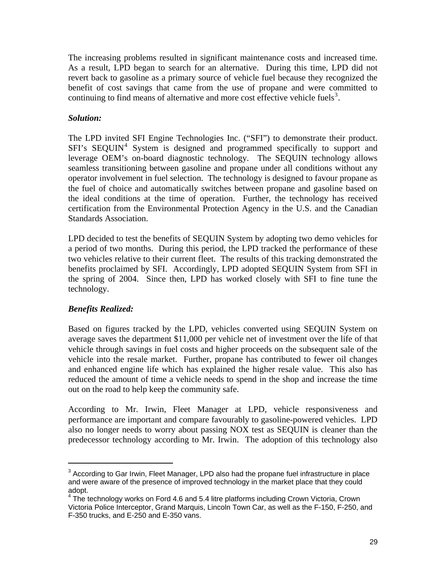The increasing problems resulted in significant maintenance costs and increased time. As a result, LPD began to search for an alternative. During this time, LPD did not revert back to gasoline as a primary source of vehicle fuel because they recognized the benefit of cost savings that came from the use of propane and were committed to continuing to find means of alternative and more cost effective vehicle fuels<sup>[3](#page-28-0)</sup>.

#### *Solution:*

The LPD invited SFI Engine Technologies Inc. ("SFI") to demonstrate their product. SFI's SEQUIN<sup>[4](#page-28-1)</sup> System is designed and programmed specifically to support and leverage OEM's on-board diagnostic technology. The SEQUIN technology allows seamless transitioning between gasoline and propane under all conditions without any operator involvement in fuel selection. The technology is designed to favour propane as the fuel of choice and automatically switches between propane and gasoline based on the ideal conditions at the time of operation. Further, the technology has received certification from the Environmental Protection Agency in the U.S. and the Canadian Standards Association.

LPD decided to test the benefits of SEQUIN System by adopting two demo vehicles for a period of two months. During this period, the LPD tracked the performance of these two vehicles relative to their current fleet. The results of this tracking demonstrated the benefits proclaimed by SFI. Accordingly, LPD adopted SEQUIN System from SFI in the spring of 2004. Since then, LPD has worked closely with SFI to fine tune the technology.

#### *Benefits Realized:*

Based on figures tracked by the LPD, vehicles converted using SEQUIN System on average saves the department \$11,000 per vehicle net of investment over the life of that vehicle through savings in fuel costs and higher proceeds on the subsequent sale of the vehicle into the resale market. Further, propane has contributed to fewer oil changes and enhanced engine life which has explained the higher resale value. This also has reduced the amount of time a vehicle needs to spend in the shop and increase the time out on the road to help keep the community safe.

According to Mr. Irwin, Fleet Manager at LPD, vehicle responsiveness and performance are important and compare favourably to gasoline-powered vehicles. LPD also no longer needs to worry about passing NOX test as SEQUIN is cleaner than the predecessor technology according to Mr. Irwin. The adoption of this technology also

<span id="page-28-0"></span> $3$  According to Gar Irwin, Fleet Manager, LPD also had the propane fuel infrastructure in place and were aware of the presence of improved technology in the market place that they could adopt.

<span id="page-28-1"></span><sup>&</sup>lt;sup>4</sup> The technology works on Ford 4.6 and 5.4 litre platforms including Crown Victoria, Crown Victoria Police Interceptor, Grand Marquis, Lincoln Town Car, as well as the F-150, F-250, and F-350 trucks, and E-250 and E-350 vans.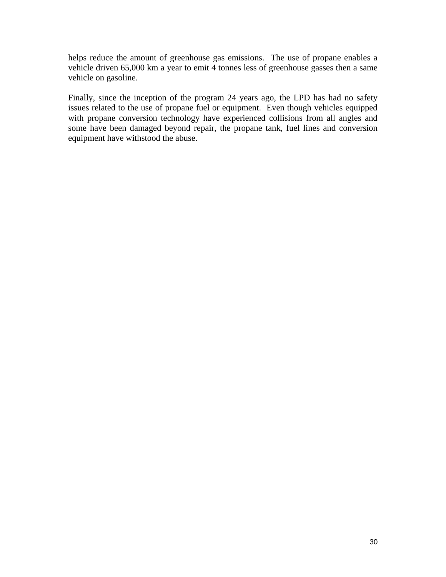helps reduce the amount of greenhouse gas emissions. The use of propane enables a vehicle driven 65,000 km a year to emit 4 tonnes less of greenhouse gasses then a same vehicle on gasoline.

Finally, since the inception of the program 24 years ago, the LPD has had no safety issues related to the use of propane fuel or equipment. Even though vehicles equipped with propane conversion technology have experienced collisions from all angles and some have been damaged beyond repair, the propane tank, fuel lines and conversion equipment have withstood the abuse.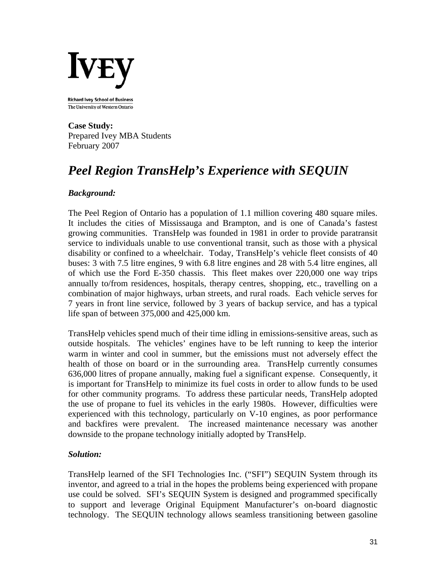

The University of Western Ontario

**Case Study:**  Prepared Ivey MBA Students February 2007

# *Peel Region TransHelp's Experience with SEQUIN*

#### *Background:*

The Peel Region of Ontario has a population of 1.1 million covering 480 square miles. It includes the cities of Mississauga and Brampton, and is one of Canada's fastest growing communities. TransHelp was founded in 1981 in order to provide paratransit service to individuals unable to use conventional transit, such as those with a physical disability or confined to a wheelchair. Today, TransHelp's vehicle fleet consists of 40 buses: 3 with 7.5 litre engines, 9 with 6.8 litre engines and 28 with 5.4 litre engines, all of which use the Ford E-350 chassis. This fleet makes over 220,000 one way trips annually to/from residences, hospitals, therapy centres, shopping, etc., travelling on a combination of major highways, urban streets, and rural roads. Each vehicle serves for 7 years in front line service, followed by 3 years of backup service, and has a typical life span of between 375,000 and 425,000 km.

TransHelp vehicles spend much of their time idling in emissions-sensitive areas, such as outside hospitals. The vehicles' engines have to be left running to keep the interior warm in winter and cool in summer, but the emissions must not adversely effect the health of those on board or in the surrounding area. TransHelp currently consumes 636,000 litres of propane annually, making fuel a significant expense. Consequently, it is important for TransHelp to minimize its fuel costs in order to allow funds to be used for other community programs. To address these particular needs, TransHelp adopted the use of propane to fuel its vehicles in the early 1980s. However, difficulties were experienced with this technology, particularly on V-10 engines, as poor performance and backfires were prevalent. The increased maintenance necessary was another downside to the propane technology initially adopted by TransHelp.

#### *Solution:*

TransHelp learned of the SFI Technologies Inc. ("SFI") SEQUIN System through its inventor, and agreed to a trial in the hopes the problems being experienced with propane use could be solved. SFI's SEQUIN System is designed and programmed specifically to support and leverage Original Equipment Manufacturer's on-board diagnostic technology. The SEQUIN technology allows seamless transitioning between gasoline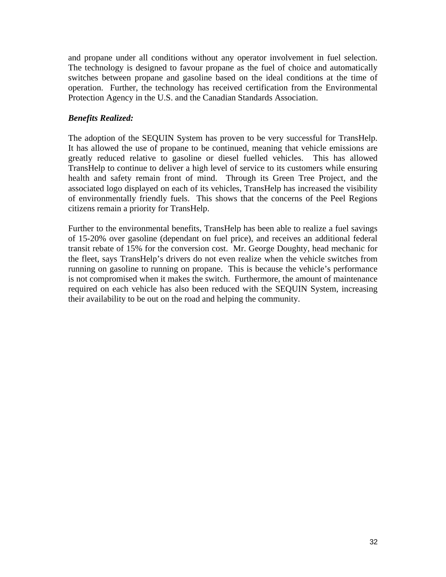and propane under all conditions without any operator involvement in fuel selection. The technology is designed to favour propane as the fuel of choice and automatically switches between propane and gasoline based on the ideal conditions at the time of operation. Further, the technology has received certification from the Environmental Protection Agency in the U.S. and the Canadian Standards Association.

#### *Benefits Realized:*

The adoption of the SEQUIN System has proven to be very successful for TransHelp. It has allowed the use of propane to be continued, meaning that vehicle emissions are greatly reduced relative to gasoline or diesel fuelled vehicles. This has allowed TransHelp to continue to deliver a high level of service to its customers while ensuring health and safety remain front of mind. Through its Green Tree Project, and the associated logo displayed on each of its vehicles, TransHelp has increased the visibility of environmentally friendly fuels. This shows that the concerns of the Peel Regions citizens remain a priority for TransHelp.

Further to the environmental benefits, TransHelp has been able to realize a fuel savings of 15-20% over gasoline (dependant on fuel price), and receives an additional federal transit rebate of 15% for the conversion cost. Mr. George Doughty, head mechanic for the fleet, says TransHelp's drivers do not even realize when the vehicle switches from running on gasoline to running on propane. This is because the vehicle's performance is not compromised when it makes the switch. Furthermore, the amount of maintenance required on each vehicle has also been reduced with the SEQUIN System, increasing their availability to be out on the road and helping the community.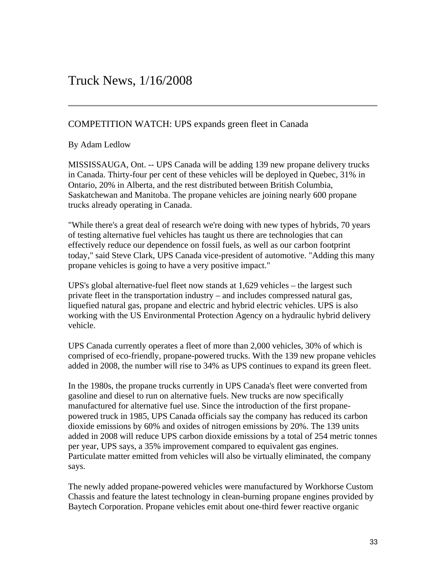### COMPETITION WATCH: UPS expands green fleet in Canada

By Adam Ledlow

MISSISSAUGA, Ont. -- UPS Canada will be adding 139 new propane delivery trucks Saskatchewan and Manitoba. The propane vehicles are joining nearly 600 propane in Canada. Thirty-four per cent of these vehicles will be deployed in Quebec, 31% in Ontario, 20% in Alberta, and the rest distributed between British Columbia, trucks already operating in Canada.

While there's a great deal of research we're doing with new types of hybrids, 70 years " effectively reduce our dependence on fossil fuels, as well as our carbon footprint today," said Steve Clark, UPS Canada vice-president of automotive. "Adding this many of testing alternative fuel vehicles has taught us there are technologies that can propane vehicles is going to have a very positive impact."

UPS's global alternative-fuel fleet now stands at 1,629 vehicles - the largest such working with the US Environmental Protection Agency on a hydraulic hybrid delivery private fleet in the transportation industry – and includes compressed natural gas, liquefied natural gas, propane and electric and hybrid electric vehicles. UPS is also vehicle.

UPS Canada currently operates a fleet of more than 2,000 vehicles, 30% of which is comprised of eco-friendly, propane-powered trucks. With the 139 new propane vehicles added in 2008, the number will rise to 34% as UPS continues to expand its green fleet.

In the 1980s, the propane trucks currently in UPS Canada's fleet were converted from manufactured for alternative fuel use. Since the introduction of the first propanepowered truck in 1985, UPS Canada officials say the company has reduced its carbon added in 2008 will reduce UPS carbon dioxide emissions by a total of 254 metric tonnes Particulate matter emitted from vehicles will also be virtually eliminated, the company gasoline and diesel to run on alternative fuels. New trucks are now specifically dioxide emissions by 60% and oxides of nitrogen emissions by 20%. The 139 units per year, UPS says, a 35% improvement compared to equivalent gas engines. says.

The newly added propane-powered vehicles were manufactured by Workhorse Custom Chassis and feature the latest technology in clean-burning propane engines provided by Baytech Corporation. Propane vehicles emit about one-third fewer reactive organic